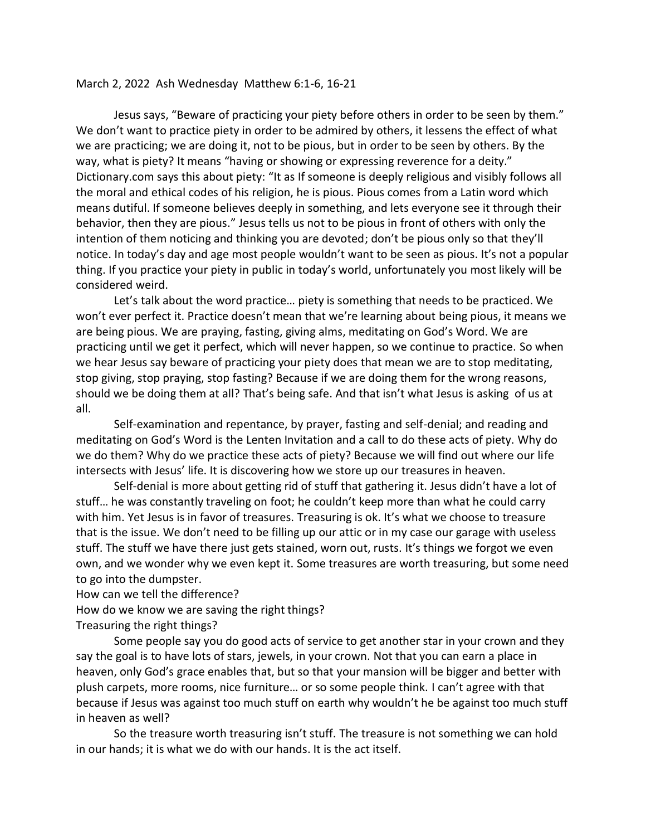## March 2, 2022 Ash Wednesday Matthew 6:1-6, 16-21

Jesus says, "Beware of practicing your piety before others in order to be seen by them." We don't want to practice piety in order to be admired by others, it lessens the effect of what we are practicing; we are doing it, not to be pious, but in order to be seen by others. By the way, what is piety? It means "having or showing or expressing reverence for a deity." Dictionary.com says this about piety: "It as If someone is deeply religious and visibly follows all the moral and ethical codes of his religion, he is pious. Pious comes from a Latin word which means dutiful. If someone believes deeply in something, and lets everyone see it through their behavior, then they are pious." Jesus tells us not to be pious in front of others with only the intention of them noticing and thinking you are devoted; don't be pious only so that they'll notice. In today's day and age most people wouldn't want to be seen as pious. It's not a popular thing. If you practice your piety in public in today's world, unfortunately you most likely will be considered weird.

Let's talk about the word practice… piety is something that needs to be practiced. We won't ever perfect it. Practice doesn't mean that we're learning about being pious, it means we are being pious. We are praying, fasting, giving alms, meditating on God's Word. We are practicing until we get it perfect, which will never happen, so we continue to practice. So when we hear Jesus say beware of practicing your piety does that mean we are to stop meditating, stop giving, stop praying, stop fasting? Because if we are doing them for the wrong reasons, should we be doing them at all? That's being safe. And that isn't what Jesus is asking of us at all.

Self-examination and repentance, by prayer, fasting and self-denial; and reading and meditating on God's Word is the Lenten Invitation and a call to do these acts of piety. Why do we do them? Why do we practice these acts of piety? Because we will find out where our life intersects with Jesus' life. It is discovering how we store up our treasures in heaven.

Self-denial is more about getting rid of stuff that gathering it. Jesus didn't have a lot of stuff… he was constantly traveling on foot; he couldn't keep more than what he could carry with him. Yet Jesus is in favor of treasures. Treasuring is ok. It's what we choose to treasure that is the issue. We don't need to be filling up our attic or in my case our garage with useless stuff. The stuff we have there just gets stained, worn out, rusts. It's things we forgot we even own, and we wonder why we even kept it. Some treasures are worth treasuring, but some need to go into the dumpster.

How can we tell the difference?

How do we know we are saving the right things?

Treasuring the right things?

Some people say you do good acts of service to get another star in your crown and they say the goal is to have lots of stars, jewels, in your crown. Not that you can earn a place in heaven, only God's grace enables that, but so that your mansion will be bigger and better with plush carpets, more rooms, nice furniture… or so some people think. I can't agree with that because if Jesus was against too much stuff on earth why wouldn't he be against too much stuff in heaven as well?

So the treasure worth treasuring isn't stuff. The treasure is not something we can hold in our hands; it is what we do with our hands. It is the act itself.